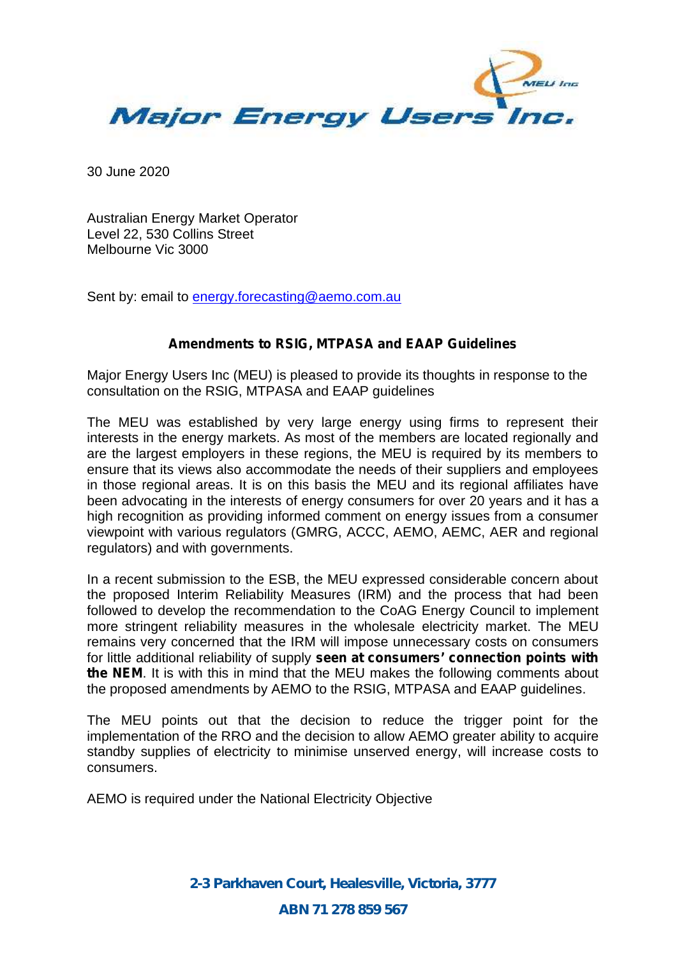

30 June 2020

Australian Energy Market Operator Level 22, 530 Collins Street Melbourne Vic 3000

Sent by: email to energy.forecasting@aemo.com.au

## **Amendments to RSIG, MTPASA and EAAP Guidelines**

Major Energy Users Inc (MEU) is pleased to provide its thoughts in response to the consultation on the RSIG, MTPASA and EAAP guidelines

The MEU was established by very large energy using firms to represent their interests in the energy markets. As most of the members are located regionally and are the largest employers in these regions, the MEU is required by its members to ensure that its views also accommodate the needs of their suppliers and employees in those regional areas. It is on this basis the MEU and its regional affiliates have been advocating in the interests of energy consumers for over 20 years and it has a high recognition as providing informed comment on energy issues from a consumer viewpoint with various regulators (GMRG, ACCC, AEMO, AEMC, AER and regional regulators) and with governments.

In a recent submission to the ESB, the MEU expressed considerable concern about the proposed Interim Reliability Measures (IRM) and the process that had been followed to develop the recommendation to the CoAG Energy Council to implement more stringent reliability measures in the wholesale electricity market. The MEU remains very concerned that the IRM will impose unnecessary costs on consumers for little additional reliability of supply **seen at consumers' connection points with the NEM**. It is with this in mind that the MEU makes the following comments about the proposed amendments by AEMO to the RSIG, MTPASA and EAAP guidelines.

The MEU points out that the decision to reduce the trigger point for the implementation of the RRO and the decision to allow AEMO greater ability to acquire standby supplies of electricity to minimise unserved energy, will increase costs to consumers.

AEMO is required under the National Electricity Objective

*2-3 Parkhaven Court, Healesville, Victoria, 3777 ABN 71 278 859 567*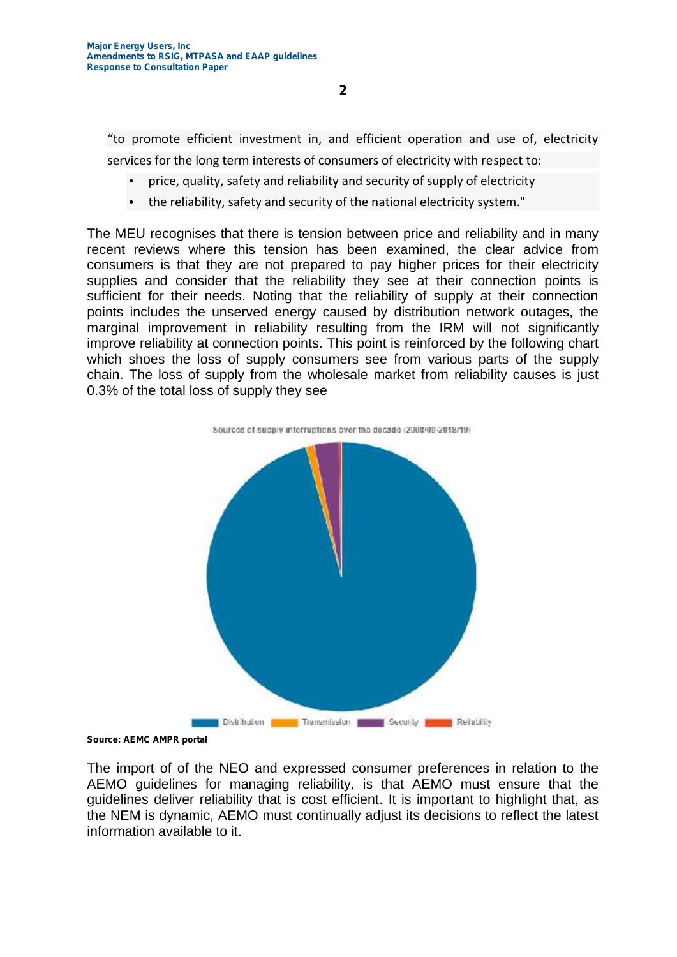"to promote efficient investment in, and efficient operation and use of, electricity services for the long term interests of consumers of electricity with respect to:

- price, quality, safety and reliability and security of supply of electricity
- the reliability, safety and security of the national electricity system."

The MEU recognises that there is tension between price and reliability and in many recent reviews where this tension has been examined, the clear advice from consumers is that they are not prepared to pay higher prices for their electricity supplies and consider that the reliability they see at their connection points is sufficient for their needs. Noting that the reliability of supply at their connection points includes the unserved energy caused by distribution network outages, the marginal improvement in reliability resulting from the IRM will not significantly improve reliability at connection points. This point is reinforced by the following chart which shoes the loss of supply consumers see from various parts of the supply chain. The loss of supply from the wholesale market from reliability causes is just 0.3% of the total loss of supply they see

Sources of supply interruptions over the decade (2008/09-2018/19)





**Source: AEMC AMPR portal**

The import of of the NEO and expressed consumer preferences in relation to the AEMO guidelines for managing reliability, is that AEMO must ensure that the guidelines deliver reliability that is cost efficient. It is important to highlight that, as the NEM is dynamic, AEMO must continually adjust its decisions to reflect the latest information available to it.